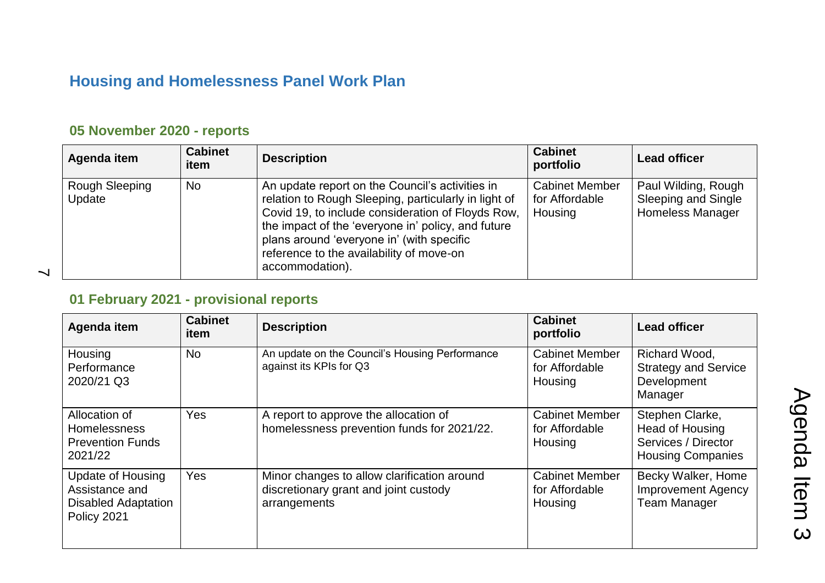# **Housing and Homelessness Panel Work Plan**

### **05 November 2020 - reports**

| Agenda item                     | <b>Cabinet</b><br>item | <b>Description</b>                                                                                                                                                                                                                                                                                                             | <b>Cabinet</b><br>portfolio                        | <b>Lead officer</b>                                                   |
|---------------------------------|------------------------|--------------------------------------------------------------------------------------------------------------------------------------------------------------------------------------------------------------------------------------------------------------------------------------------------------------------------------|----------------------------------------------------|-----------------------------------------------------------------------|
| <b>Rough Sleeping</b><br>Update | <b>No</b>              | An update report on the Council's activities in<br>relation to Rough Sleeping, particularly in light of<br>Covid 19, to include consideration of Floyds Row,<br>the impact of the 'everyone in' policy, and future<br>plans around 'everyone in' (with specific<br>reference to the availability of move-on<br>accommodation). | <b>Cabinet Member</b><br>for Affordable<br>Housing | Paul Wilding, Rough<br>Sleeping and Single<br><b>Homeless Manager</b> |

 $\overline{\phantom{0}}$ 

### **01 February 2021 - provisional reports**

| Agenda item                                                                      | <b>Cabinet</b><br>item | <b>Description</b>                                                                                   | <b>Cabinet</b><br>portfolio                        | <b>Lead officer</b>                                                                   |
|----------------------------------------------------------------------------------|------------------------|------------------------------------------------------------------------------------------------------|----------------------------------------------------|---------------------------------------------------------------------------------------|
| Housing<br>Performance<br>2020/21 Q3                                             | <b>No</b>              | An update on the Council's Housing Performance<br>against its KPIs for Q3                            | <b>Cabinet Member</b><br>for Affordable<br>Housing | Richard Wood,<br><b>Strategy and Service</b><br>Development<br>Manager                |
| Allocation of<br><b>Homelessness</b><br><b>Prevention Funds</b><br>2021/22       | Yes                    | A report to approve the allocation of<br>homelessness prevention funds for 2021/22.                  | <b>Cabinet Member</b><br>for Affordable<br>Housing | Stephen Clarke,<br>Head of Housing<br>Services / Director<br><b>Housing Companies</b> |
| Update of Housing<br>Assistance and<br><b>Disabled Adaptation</b><br>Policy 2021 | Yes                    | Minor changes to allow clarification around<br>discretionary grant and joint custody<br>arrangements | <b>Cabinet Member</b><br>for Affordable<br>Housing | Becky Walker, Home<br><b>Improvement Agency</b><br><b>Team Manager</b>                |